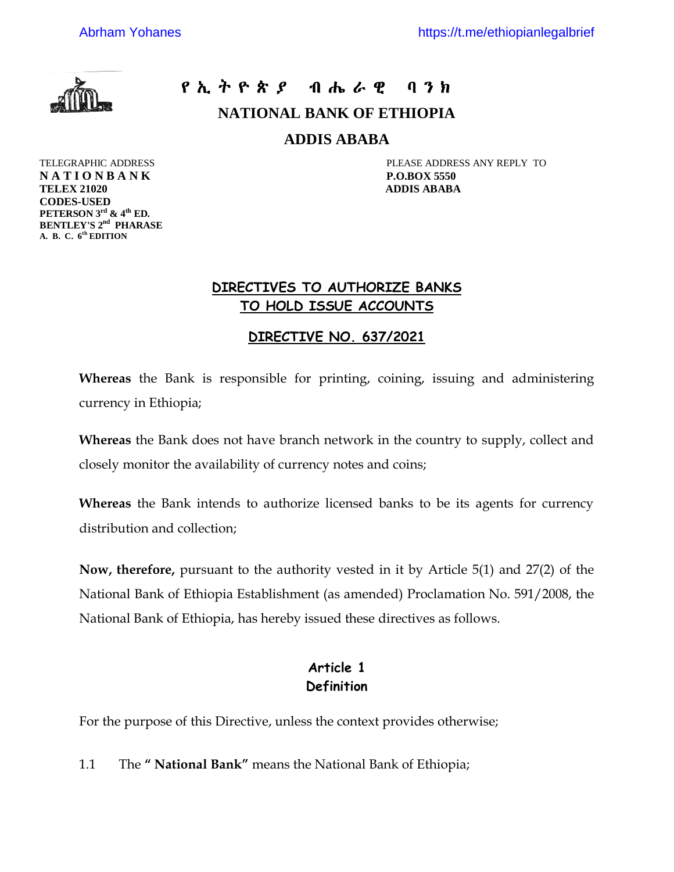

**CODES-USED**

**PETERSON 3rd & 4th ED. BENTLEY'S 2nd PHARASE A. B. C. 6th EDITION**

# $P$  ኢ ት ዮ ጵ ያ $P$  ብ ሔ ራ ዊ $P$  ባ ን ክ

**NATIONAL BANK OF ETHIOPIA**

**ADDIS ABABA**

TELEGRAPHIC ADDRESS PLEASE ADDRESS ANY REPLY TO **N A T I O N B A N K P.O.BOX 5550 TELEX 21020 ADDIS ABABA**

#### **DIRECTIVES TO AUTHORIZE BANKS TO HOLD ISSUE ACCOUNTS**

#### **DIRECTIVE NO. 637/2021**

**Whereas** the Bank is responsible for printing, coining, issuing and administering currency in Ethiopia;

**Whereas** the Bank does not have branch network in the country to supply, collect and closely monitor the availability of currency notes and coins;

**Whereas** the Bank intends to authorize licensed banks to be its agents for currency distribution and collection;

**Now, therefore,** pursuant to the authority vested in it by Article 5(1) and 27(2) of the National Bank of Ethiopia Establishment (as amended) Proclamation No. 591/2008, the National Bank of Ethiopia, has hereby issued these directives as follows.

### **Article 1 Definition**

For the purpose of this Directive, unless the context provides otherwise;

1.1 The **" National Bank"** means the National Bank of Ethiopia;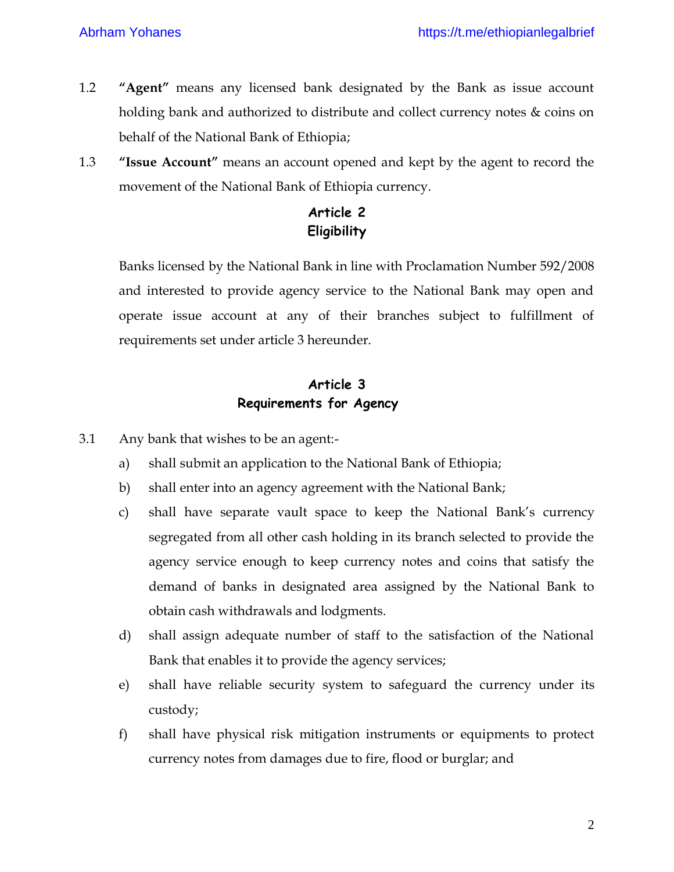- 1.2 **"Agent"** means any licensed bank designated by the Bank as issue account holding bank and authorized to distribute and collect currency notes & coins on behalf of the National Bank of Ethiopia;
- 1.3 **"Issue Account"** means an account opened and kept by the agent to record the movement of the National Bank of Ethiopia currency.

## **Article 2 Eligibility**

Banks licensed by the National Bank in line with Proclamation Number 592/2008 and interested to provide agency service to the National Bank may open and operate issue account at any of their branches subject to fulfillment of requirements set under article 3 hereunder.

### **Article 3 Requirements for Agency**

- 3.1 Any bank that wishes to be an agent:
	- a) shall submit an application to the National Bank of Ethiopia;
	- b) shall enter into an agency agreement with the National Bank;
	- c) shall have separate vault space to keep the National Bank's currency segregated from all other cash holding in its branch selected to provide the agency service enough to keep currency notes and coins that satisfy the demand of banks in designated area assigned by the National Bank to obtain cash withdrawals and lodgments.
	- d) shall assign adequate number of staff to the satisfaction of the National Bank that enables it to provide the agency services;
	- e) shall have reliable security system to safeguard the currency under its custody;
	- f) shall have physical risk mitigation instruments or equipments to protect currency notes from damages due to fire, flood or burglar; and